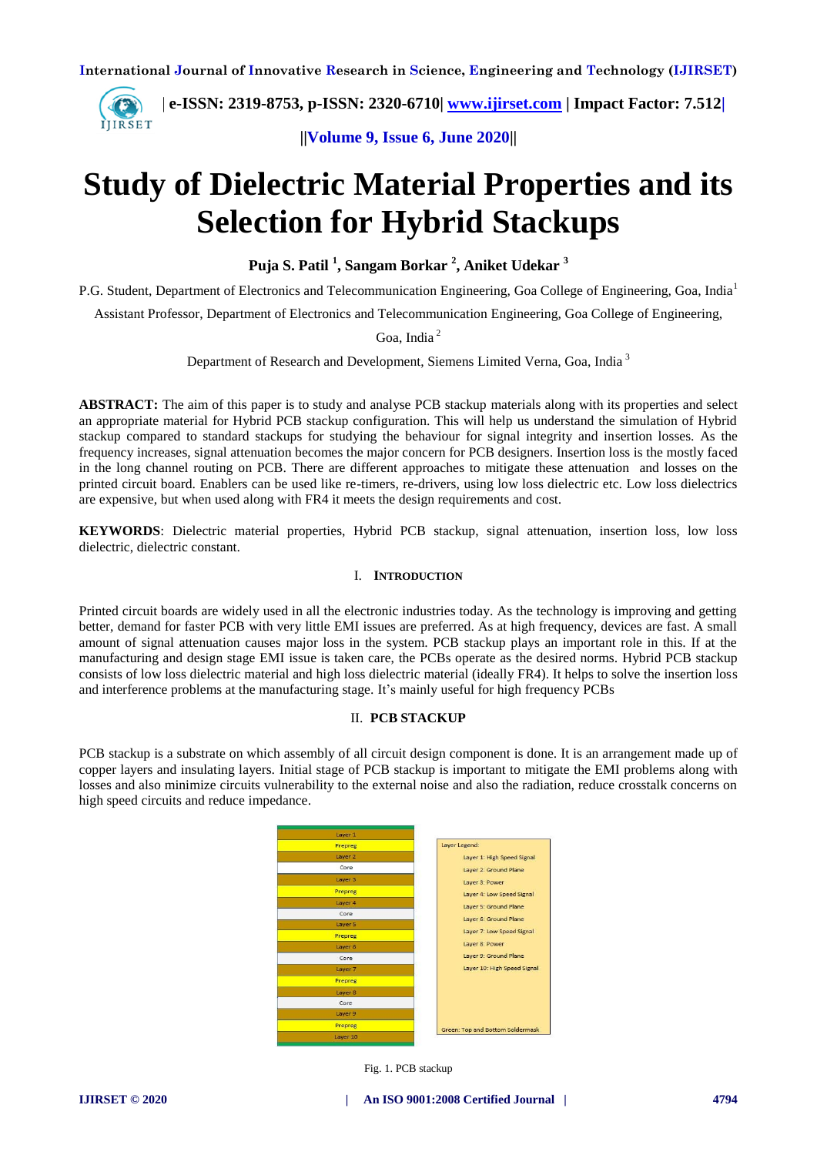

 **| e-ISSN: 2319-8753, p-ISSN: 2320-6710| [www.ijirset.com](http://www.ijirset.com/) | Impact Factor: 7.512|**

**||Volume 9, Issue 6, June 2020||** 

# **Study of Dielectric Material Properties and its Selection for Hybrid Stackups**

**Puja S. Patil <sup>1</sup> , Sangam Borkar <sup>2</sup> , Aniket Udekar <sup>3</sup>**

P.G. Student, Department of Electronics and Telecommunication Engineering, Goa College of Engineering, Goa, India<sup>1</sup>

Assistant Professor, Department of Electronics and Telecommunication Engineering, Goa College of Engineering,

Goa, India <sup>2</sup>

Department of Research and Development, Siemens Limited Verna, Goa, India<sup>3</sup>

**ABSTRACT:** The aim of this paper is to study and analyse PCB stackup materials along with its properties and select an appropriate material for Hybrid PCB stackup configuration. This will help us understand the simulation of Hybrid stackup compared to standard stackups for studying the behaviour for signal integrity and insertion losses. As the frequency increases, signal attenuation becomes the major concern for PCB designers. Insertion loss is the mostly faced in the long channel routing on PCB. There are different approaches to mitigate these attenuation and losses on the printed circuit board. Enablers can be used like re-timers, re-drivers, using low loss dielectric etc. Low loss dielectrics are expensive, but when used along with FR4 it meets the design requirements and cost.

**KEYWORDS**: Dielectric material properties, Hybrid PCB stackup, signal attenuation, insertion loss, low loss dielectric, dielectric constant.

## I. **INTRODUCTION**

Printed circuit boards are widely used in all the electronic industries today. As the technology is improving and getting better, demand for faster PCB with very little EMI issues are preferred. As at high frequency, devices are fast. A small amount of signal attenuation causes major loss in the system. PCB stackup plays an important role in this. If at the manufacturing and design stage EMI issue is taken care, the PCBs operate as the desired norms. Hybrid PCB stackup consists of low loss dielectric material and high loss dielectric material (ideally FR4). It helps to solve the insertion loss and interference problems at the manufacturing stage. It's mainly useful for high frequency PCBs

## II. **PCB STACKUP**

PCB stackup is a substrate on which assembly of all circuit design component is done. It is an arrangement made up of copper layers and insulating layers. Initial stage of PCB stackup is important to mitigate the EMI problems along with losses and also minimize circuits vulnerability to the external noise and also the radiation, reduce crosstalk concerns on high speed circuits and reduce impedance.



Fig. 1. PCB stackup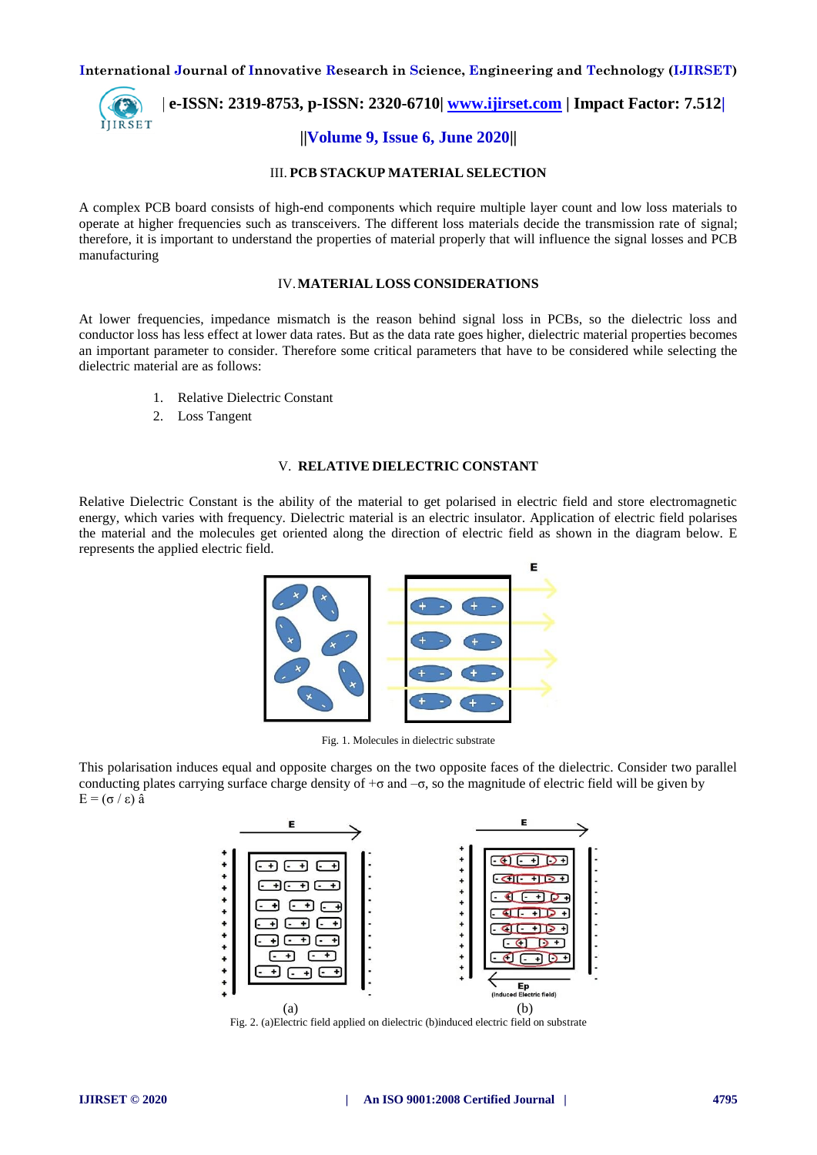

 **| e-ISSN: 2319-8753, p-ISSN: 2320-6710| [www.ijirset.com](http://www.ijirset.com/) | Impact Factor: 7.512| ||Volume 9, Issue 6, June 2020||** 

# III. **PCB STACKUP MATERIAL SELECTION**

A complex PCB board consists of high-end components which require multiple layer count and low loss materials to operate at higher frequencies such as transceivers. The different loss materials decide the transmission rate of signal; therefore, it is important to understand the properties of material properly that will influence the signal losses and PCB manufacturing

## IV.**MATERIAL LOSS CONSIDERATIONS**

At lower frequencies, impedance mismatch is the reason behind signal loss in PCBs, so the dielectric loss and conductor loss has less effect at lower data rates. But as the data rate goes higher, dielectric material properties becomes an important parameter to consider. Therefore some critical parameters that have to be considered while selecting the dielectric material are as follows:

- 1. Relative Dielectric Constant
- 2. Loss Tangent

#### V. **RELATIVE DIELECTRIC CONSTANT**

Relative Dielectric Constant is the ability of the material to get polarised in electric field and store electromagnetic energy, which varies with frequency. Dielectric material is an electric insulator. Application of electric field polarises the material and the molecules get oriented along the direction of electric field as shown in the diagram below. E represents the applied electric field.



Fig. 1. Molecules in dielectric substrate

This polarisation induces equal and opposite charges on the two opposite faces of the dielectric. Consider two parallel conducting plates carrying surface charge density of  $+\sigma$  and  $-\sigma$ , so the magnitude of electric field will be given by E = (σ / ε) â



Fig. 2. (a)Electric field applied on dielectric (b)induced electric field on substrate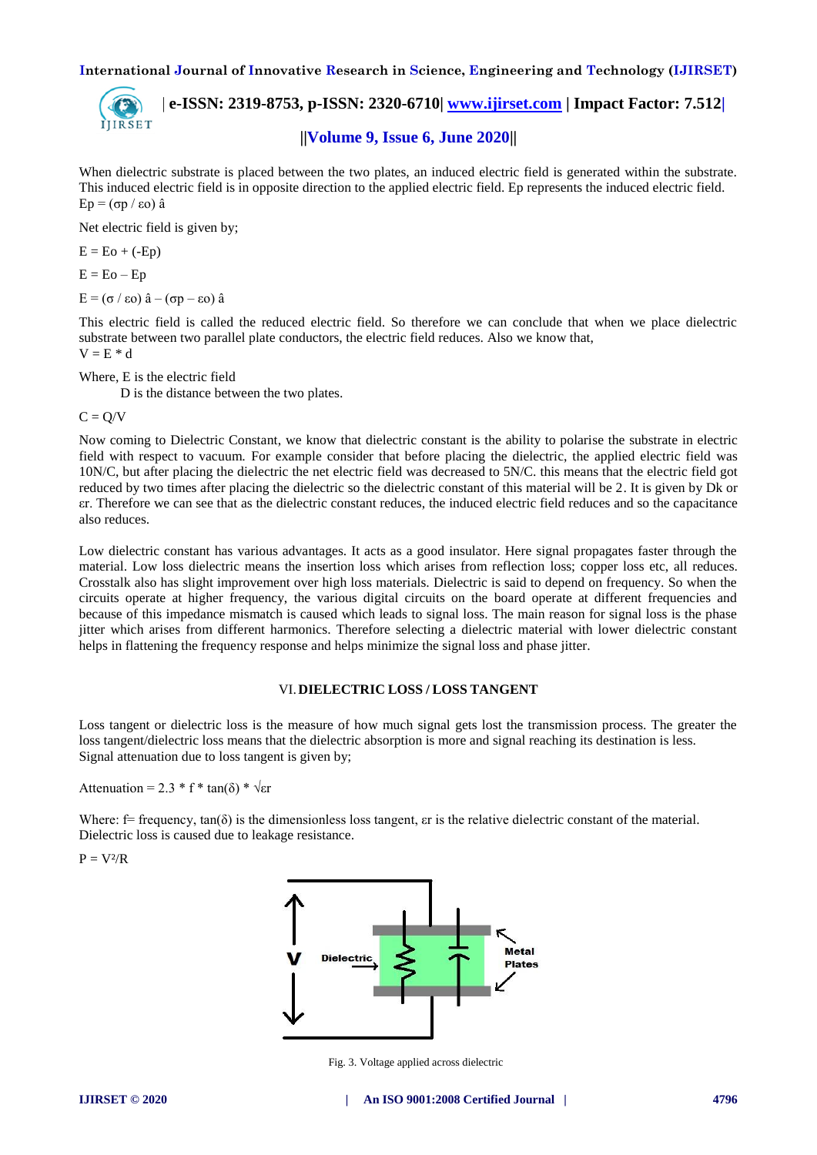

 **| e-ISSN: 2319-8753, p-ISSN: 2320-6710| [www.ijirset.com](http://www.ijirset.com/) | Impact Factor: 7.512|**

# **||Volume 9, Issue 6, June 2020||**

When dielectric substrate is placed between the two plates, an induced electric field is generated within the substrate. This induced electric field is in opposite direction to the applied electric field. Ep represents the induced electric field. Ep = (σp / εo) â

Net electric field is given by;

 $E = Eo + (-Ep)$ 

 $E = E_0 - E_p$ 

E = (σ / εo) â – (σp – εo) â

This electric field is called the reduced electric field. So therefore we can conclude that when we place dielectric substrate between two parallel plate conductors, the electric field reduces. Also we know that,  $V = E * d$ 

Where, E is the electric field

D is the distance between the two plates.

 $C = Q/V$ 

Now coming to Dielectric Constant, we know that dielectric constant is the ability to polarise the substrate in electric field with respect to vacuum. For example consider that before placing the dielectric, the applied electric field was 10N/C, but after placing the dielectric the net electric field was decreased to 5N/C. this means that the electric field got reduced by two times after placing the dielectric so the dielectric constant of this material will be 2. It is given by Dk or εr. Therefore we can see that as the dielectric constant reduces, the induced electric field reduces and so the capacitance also reduces.

Low dielectric constant has various advantages. It acts as a good insulator. Here signal propagates faster through the material. Low loss dielectric means the insertion loss which arises from reflection loss; copper loss etc, all reduces. Crosstalk also has slight improvement over high loss materials. Dielectric is said to depend on frequency. So when the circuits operate at higher frequency, the various digital circuits on the board operate at different frequencies and because of this impedance mismatch is caused which leads to signal loss. The main reason for signal loss is the phase jitter which arises from different harmonics. Therefore selecting a dielectric material with lower dielectric constant helps in flattening the frequency response and helps minimize the signal loss and phase jitter.

## VI.**DIELECTRIC LOSS / LOSS TANGENT**

Loss tangent or dielectric loss is the measure of how much signal gets lost the transmission process. The greater the loss tangent/dielectric loss means that the dielectric absorption is more and signal reaching its destination is less. Signal attenuation due to loss tangent is given by;

Attenuation = 2.3 \* f \* tan( $\delta$ ) \*  $\sqrt{\text{er}}$ 

Where:  $f = \text{frequency}, \tan(\delta)$  is the dimensionless loss tangent,  $\epsilon$  is the relative dielectric constant of the material. Dielectric loss is caused due to leakage resistance.

 $P = V^2/R$ 



Fig. 3. Voltage applied across dielectric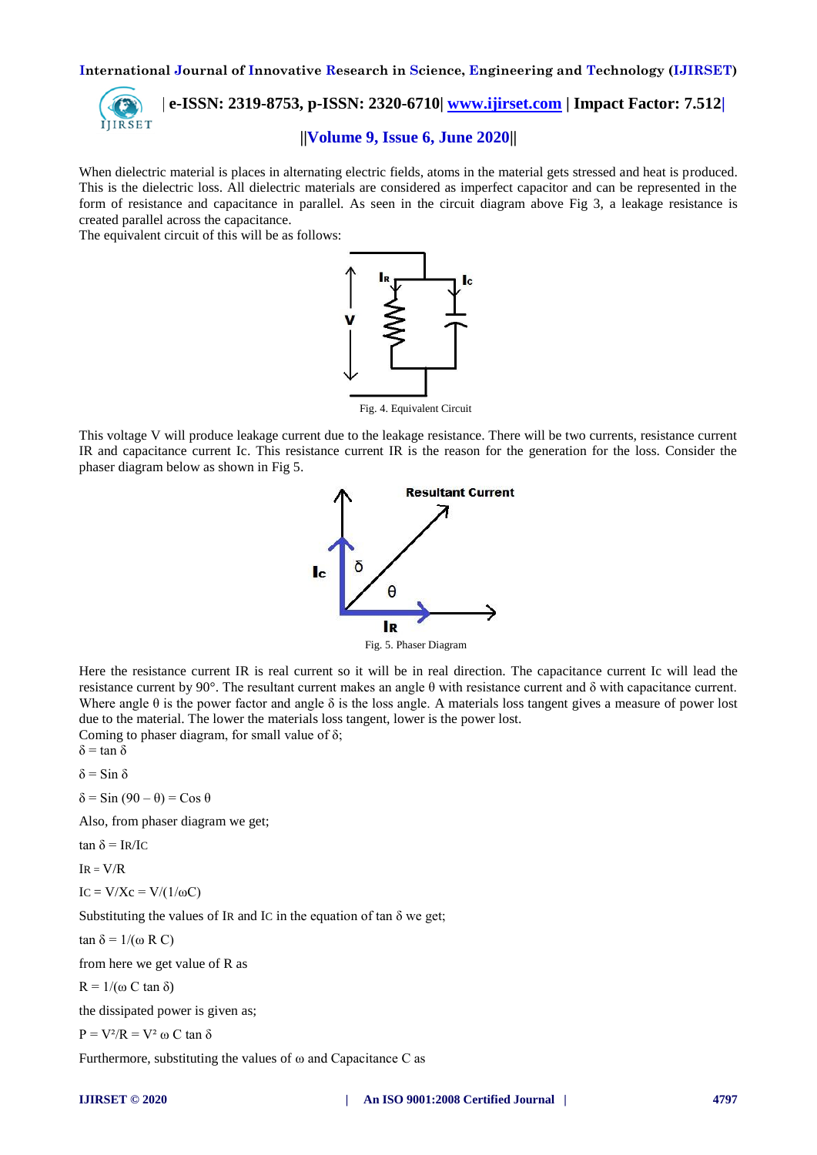

 **| e-ISSN: 2319-8753, p-ISSN: 2320-6710| [www.ijirset.com](http://www.ijirset.com/) | Impact Factor: 7.512|**

# **||Volume 9, Issue 6, June 2020||**

When dielectric material is places in alternating electric fields, atoms in the material gets stressed and heat is produced. This is the dielectric loss. All dielectric materials are considered as imperfect capacitor and can be represented in the form of resistance and capacitance in parallel. As seen in the circuit diagram above Fig 3, a leakage resistance is created parallel across the capacitance.

The equivalent circuit of this will be as follows:



Fig. 4. Equivalent Circuit

This voltage V will produce leakage current due to the leakage resistance. There will be two currents, resistance current IR and capacitance current Ic. This resistance current IR is the reason for the generation for the loss. Consider the phaser diagram below as shown in Fig 5.



Fig. 5. Phaser Diagram

Here the resistance current IR is real current so it will be in real direction. The capacitance current Ic will lead the resistance current by 90°. The resultant current makes an angle θ with resistance current and δ with capacitance current. Where angle  $\theta$  is the power factor and angle  $\delta$  is the loss angle. A materials loss tangent gives a measure of power lost due to the material. The lower the materials loss tangent, lower is the power lost. Coming to phaser diagram, for small value of  $\delta$ ;

 $δ = tan δ$ 

δ = Sin δ

 $\delta$  = Sin (90 –  $\theta$ ) = Cos  $\theta$ 

Also, from phaser diagram we get;

tan  $\delta = IR/IC$ 

 $IR = V/R$ 

IC = V/ $X$ c = V/(1/ωC)

Substituting the values of IR and IC in the equation of tan  $\delta$  we get;

tan δ =  $1/(\omega$  R C)

from here we get value of R as

R = 1/(ω C tan δ)

the dissipated power is given as;

$$
P = V^2/R = V^2 \omega C \tan \delta
$$

Furthermore, substituting the values of ω and Capacitance C as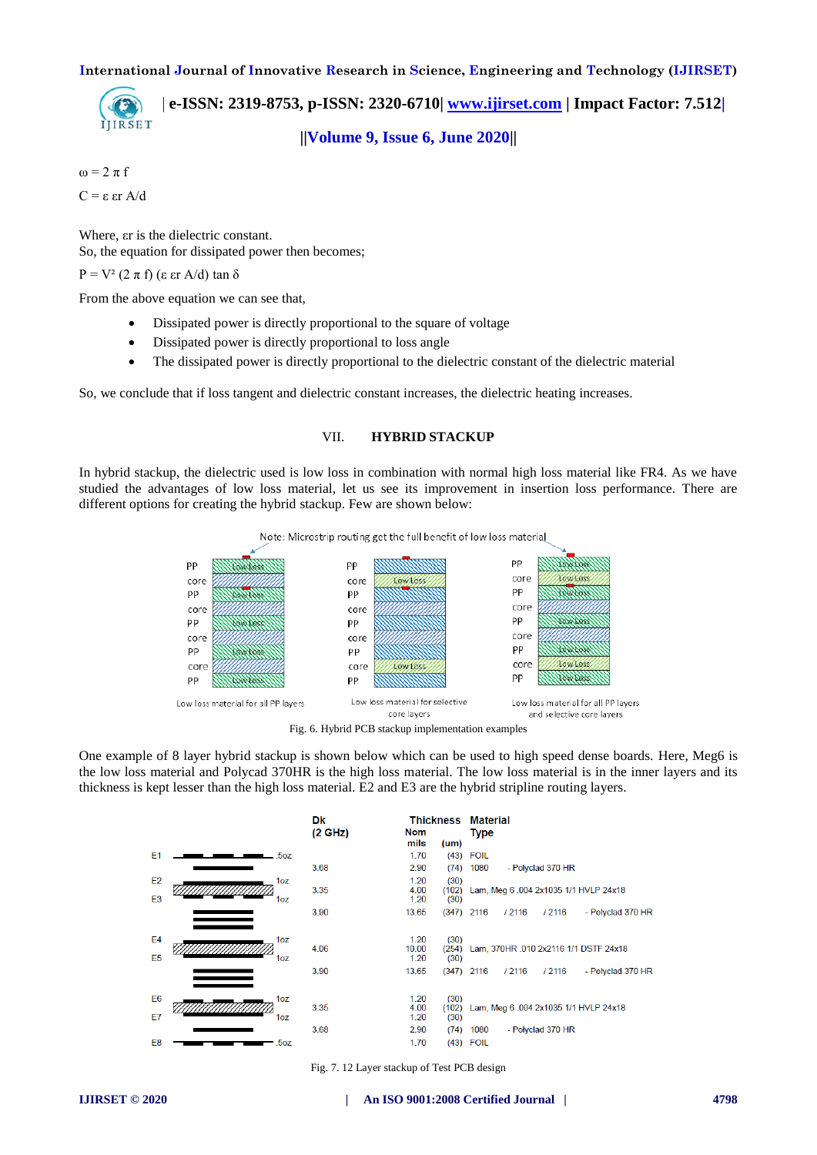

 **| e-ISSN: 2319-8753, p-ISSN: 2320-6710| [www.ijirset.com](http://www.ijirset.com/) | Impact Factor: 7.512| ||Volume 9, Issue 6, June 2020||** 

 $\omega = 2 \pi f$ C = ε εr A/d

Where, εr is the dielectric constant. So, the equation for dissipated power then becomes;

P = V<sup>2</sup> (2 π f) (ε εr A/d) tan δ

From the above equation we can see that,

- Dissipated power is directly proportional to the square of voltage
- Dissipated power is directly proportional to loss angle
- The dissipated power is directly proportional to the dielectric constant of the dielectric material

So, we conclude that if loss tangent and dielectric constant increases, the dielectric heating increases.

## VII. **HYBRID STACKUP**

In hybrid stackup, the dielectric used is low loss in combination with normal high loss material like FR4. As we have studied the advantages of low loss material, let us see its improvement in insertion loss performance. There are different options for creating the hybrid stackup. Few are shown below:



Fig. 6. Hybrid PCB stackup implementation examples

One example of 8 layer hybrid stackup is shown below which can be used to high speed dense boards. Here, Meg6 is the low loss material and Polycad 370HR is the high loss material. The low loss material is in the inner layers and its thickness is kept lesser than the high loss material. E2 and E3 are the hybrid stripline routing layers.

|                                  |                 | Dk<br>$(2 \text{ GHz})$ | Nom                   |                       | <b>Thickness Material</b><br><b>Type</b>              |
|----------------------------------|-----------------|-------------------------|-----------------------|-----------------------|-------------------------------------------------------|
|                                  |                 |                         | mils                  | (um)                  |                                                       |
| E1                               | .5oz            |                         | 1.70                  |                       | $(43)$ FOIL                                           |
|                                  |                 | 3.68                    | 2.90                  |                       | - Polyclad 370 HR<br>$(74)$ 1080                      |
| E <sub>2</sub>                   | 1oz             |                         | 1.20                  | (30)                  |                                                       |
| E <sub>3</sub>                   | 1oz             | 3.35                    | 4.00<br>1.20          | (102)<br>(30)         | Lam, Meg 6 .004 2x1035 1/1 HVLP 24x18                 |
|                                  |                 | 3.90                    | 13.65                 |                       | $(347)$ 2116<br>/ 2116<br>- Polyclad 370 HR<br>/ 2116 |
| E <sub>4</sub><br>E <sub>5</sub> | 1oz<br>1oz      | 4.06                    | 1.20<br>10.00<br>1.20 | (30)<br>(254)<br>(30) | Lam, 370HR .010 2x2116 1/1 DSTF 24x18                 |
|                                  |                 | 3.90                    | 13.65                 |                       | $(347)$ 2116<br>/ 2116<br>/ 2116<br>- Polyclad 370 HR |
| E6                               | 1 <sub>oz</sub> |                         | 1.20                  | (30)                  |                                                       |
|                                  |                 | 3.35                    | 4.00                  | (102)                 | Lam, Meg 6 .004 2x1035 1/1 HVLP 24x18                 |
| E7                               | 1 <sub>oz</sub> |                         | 1.20                  | (30)                  |                                                       |
|                                  |                 | 3.68                    | 2.90                  | (74)                  | - Polyclad 370 HR<br>1080                             |
| E <sub>8</sub>                   | .5oz            |                         | 1.70                  |                       | $(43)$ FOIL                                           |

Fig. 7. 12 Layer stackup of Test PCB design